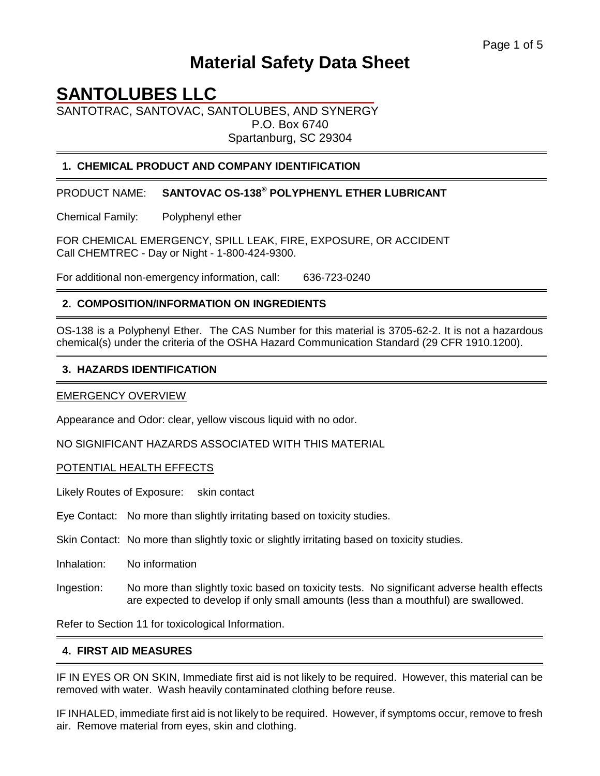# **Material Safety Data Sheet**

# **SANTOLUBES LLC**

SANTOTRAC, SANTOVAC, SANTOLUBES, AND SYNERGY P.O. Box 6740 Spartanburg, SC 29304

## **1. CHEMICAL PRODUCT AND COMPANY IDENTIFICATION**

PRODUCT NAME: **SANTOVAC OS-138® POLYPHENYL ETHER LUBRICANT**

Chemical Family: Polyphenyl ether

FOR CHEMICAL EMERGENCY, SPILL LEAK, FIRE, EXPOSURE, OR ACCIDENT Call CHEMTREC - Day or Night - 1-800-424-9300.

For additional non-emergency information, call: 636-723-0240

## **2. COMPOSITION/INFORMATION ON INGREDIENTS**

OS-138 is a Polyphenyl Ether. The CAS Number for this material is 3705-62-2. It is not a hazardous chemical(s) under the criteria of the OSHA Hazard Communication Standard (29 CFR 1910.1200).

#### **3. HAZARDS IDENTIFICATION**

#### EMERGENCY OVERVIEW

Appearance and Odor: clear, yellow viscous liquid with no odor.

NO SIGNIFICANT HAZARDS ASSOCIATED WITH THIS MATERIAL

POTENTIAL HEALTH EFFECTS

Likely Routes of Exposure: skin contact

Eye Contact: No more than slightly irritating based on toxicity studies.

Skin Contact: No more than slightly toxic or slightly irritating based on toxicity studies.

Inhalation: No information

Ingestion: No more than slightly toxic based on toxicity tests. No significant adverse health effects are expected to develop if only small amounts (less than a mouthful) are swallowed.

Refer to Section 11 for toxicological Information.

#### **4. FIRST AID MEASURES**

IF IN EYES OR ON SKIN, Immediate first aid is not likely to be required. However, this material can be removed with water. Wash heavily contaminated clothing before reuse.

IF INHALED, immediate first aid is not likely to be required. However, if symptoms occur, remove to fresh air. Remove material from eyes, skin and clothing.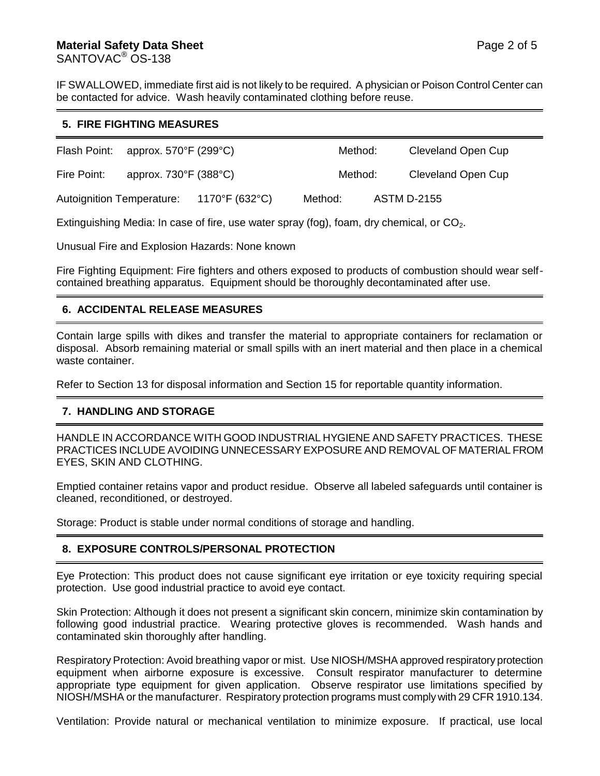## **Material Safety Data Sheet**  Page 2 of 5 SANTOVAC<sup>®</sup> OS-138

IF SWALLOWED, immediate first aid is not likely to be required. A physician or Poison Control Center can be contacted for advice. Wash heavily contaminated clothing before reuse.

#### **5. FIRE FIGHTING MEASURES**

| Flash Point: approx. $570^{\circ}$ F (299 $^{\circ}$ C) |                                            |                | Method: | Cleveland Open Cup |
|---------------------------------------------------------|--------------------------------------------|----------------|---------|--------------------|
| Fire Point:                                             | approx. $730^{\circ}$ F (388 $^{\circ}$ C) |                | Method: | Cleveland Open Cup |
| <b>Autoignition Temperature:</b>                        |                                            | 1170°F (632°C) | Method: | <b>ASTM D-2155</b> |

Extinguishing Media: In case of fire, use water spray (fog), foam, dry chemical, or  $CO<sub>2</sub>$ .

Unusual Fire and Explosion Hazards: None known

Fire Fighting Equipment: Fire fighters and others exposed to products of combustion should wear selfcontained breathing apparatus. Equipment should be thoroughly decontaminated after use.

#### **6. ACCIDENTAL RELEASE MEASURES**

Contain large spills with dikes and transfer the material to appropriate containers for reclamation or disposal. Absorb remaining material or small spills with an inert material and then place in a chemical waste container.

Refer to Section 13 for disposal information and Section 15 for reportable quantity information.

#### **7. HANDLING AND STORAGE**

HANDLE IN ACCORDANCE WITH GOOD INDUSTRIAL HYGIENE AND SAFETY PRACTICES. THESE PRACTICES INCLUDE AVOIDING UNNECESSARY EXPOSURE AND REMOVAL OF MATERIAL FROM EYES, SKIN AND CLOTHING.

Emptied container retains vapor and product residue. Observe all labeled safeguards until container is cleaned, reconditioned, or destroyed.

Storage: Product is stable under normal conditions of storage and handling.

# **8. EXPOSURE CONTROLS/PERSONAL PROTECTION**

Eye Protection: This product does not cause significant eye irritation or eye toxicity requiring special protection. Use good industrial practice to avoid eye contact.

Skin Protection: Although it does not present a significant skin concern, minimize skin contamination by following good industrial practice. Wearing protective gloves is recommended. Wash hands and contaminated skin thoroughly after handling.

Respiratory Protection: Avoid breathing vapor or mist. Use NIOSH/MSHA approved respiratory protection equipment when airborne exposure is excessive. Consult respirator manufacturer to determine appropriate type equipment for given application. Observe respirator use limitations specified by NIOSH/MSHA or the manufacturer. Respiratory protection programs must comply with 29 CFR 1910.134.

Ventilation: Provide natural or mechanical ventilation to minimize exposure. If practical, use local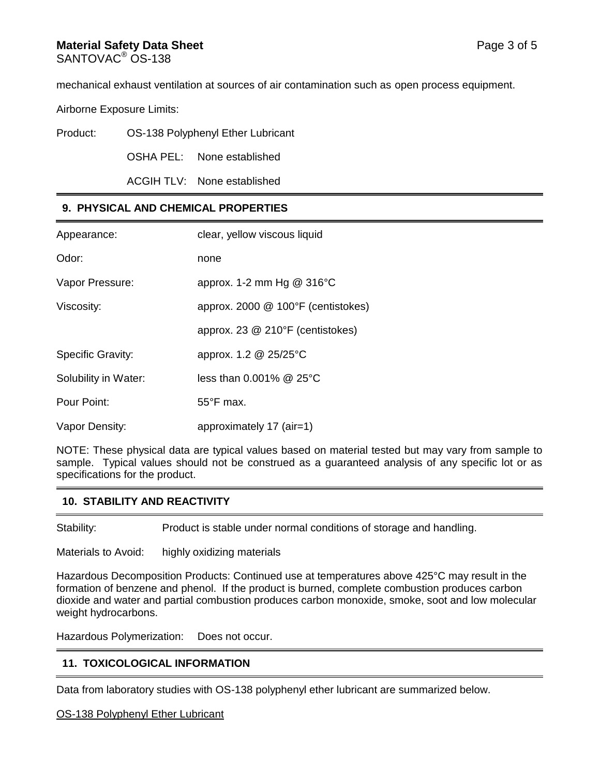#### **Material Safety Data Sheet**  Page 3 of 5 SANTOVAC<sup>®</sup> OS-138

mechanical exhaust ventilation at sources of air contamination such as open process equipment.

Airborne Exposure Limits:

| Product: | OS-138 Polyphenyl Ether Lubricant |
|----------|-----------------------------------|
|          |                                   |

OSHA PEL: None established

ACGIH TLV: None established

# **9. PHYSICAL AND CHEMICAL PROPERTIES**

| Appearance:              | clear, yellow viscous liquid         |  |
|--------------------------|--------------------------------------|--|
| Odor:                    | none                                 |  |
| Vapor Pressure:          | approx. 1-2 mm Hg $@316^{\circ}C$    |  |
| Viscosity:               | approx. 2000 $@$ 100°F (centistokes) |  |
|                          | approx. 23 @ 210°F (centistokes)     |  |
| <b>Specific Gravity:</b> | approx. 1.2 @ 25/25°C                |  |
| Solubility in Water:     | less than $0.001\%$ @ 25 $\degree$ C |  |
| Pour Point:              | $55^{\circ}$ F max.                  |  |
| Vapor Density:           | approximately 17 (air=1)             |  |

NOTE: These physical data are typical values based on material tested but may vary from sample to sample. Typical values should not be construed as a guaranteed analysis of any specific lot or as specifications for the product.

# **10. STABILITY AND REACTIVITY**

Stability: Product is stable under normal conditions of storage and handling.

Materials to Avoid: highly oxidizing materials

Hazardous Decomposition Products: Continued use at temperatures above 425°C may result in the formation of benzene and phenol. If the product is burned, complete combustion produces carbon dioxide and water and partial combustion produces carbon monoxide, smoke, soot and low molecular weight hydrocarbons.

Hazardous Polymerization: Does not occur.

# **11. TOXICOLOGICAL INFORMATION**

Data from laboratory studies with OS-138 polyphenyl ether lubricant are summarized below.

#### OS-138 Polyphenyl Ether Lubricant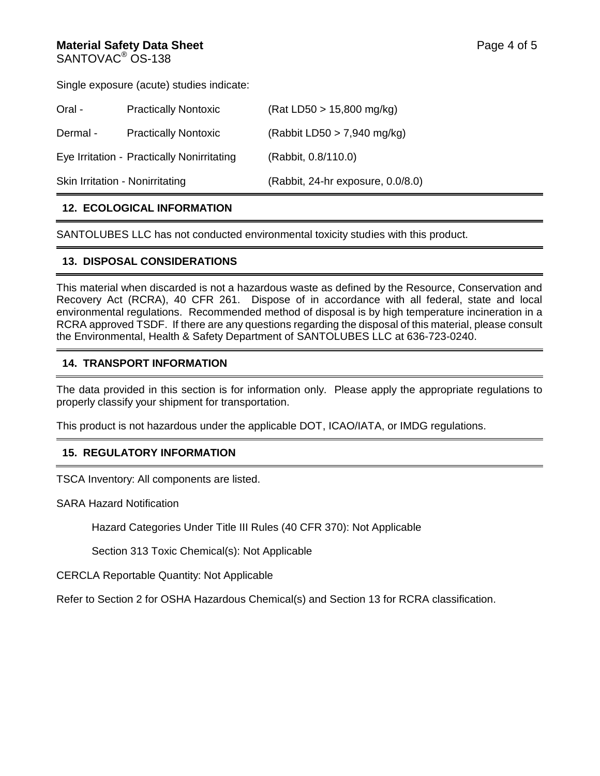#### **Material Safety Data Sheet**  Page 4 of 5 SANTOVAC<sup>®</sup> OS-138

Single exposure (acute) studies indicate:

| Oral -                          | <b>Practically Nontoxic</b>                | (Rat LD50 > 15,800 mg/kg)         |
|---------------------------------|--------------------------------------------|-----------------------------------|
| Dermal -                        | <b>Practically Nontoxic</b>                | (Rabbit LD50 $>$ 7,940 mg/kg)     |
|                                 | Eye Irritation - Practically Nonirritating | (Rabbit, 0.8/110.0)               |
| Skin Irritation - Nonirritating |                                            | (Rabbit, 24-hr exposure, 0.0/8.0) |

## **12. ECOLOGICAL INFORMATION**

SANTOLUBES LLC has not conducted environmental toxicity studies with this product.

#### **13. DISPOSAL CONSIDERATIONS**

This material when discarded is not a hazardous waste as defined by the Resource, Conservation and Recovery Act (RCRA), 40 CFR 261. Dispose of in accordance with all federal, state and local environmental regulations. Recommended method of disposal is by high temperature incineration in a RCRA approved TSDF. If there are any questions regarding the disposal of this material, please consult the Environmental, Health & Safety Department of SANTOLUBES LLC at 636-723-0240.

## **14. TRANSPORT INFORMATION**

The data provided in this section is for information only. Please apply the appropriate regulations to properly classify your shipment for transportation.

This product is not hazardous under the applicable DOT, ICAO/IATA, or IMDG regulations.

# **15. REGULATORY INFORMATION**

TSCA Inventory: All components are listed.

SARA Hazard Notification

Hazard Categories Under Title III Rules (40 CFR 370): Not Applicable

Section 313 Toxic Chemical(s): Not Applicable

CERCLA Reportable Quantity: Not Applicable

Refer to Section 2 for OSHA Hazardous Chemical(s) and Section 13 for RCRA classification.